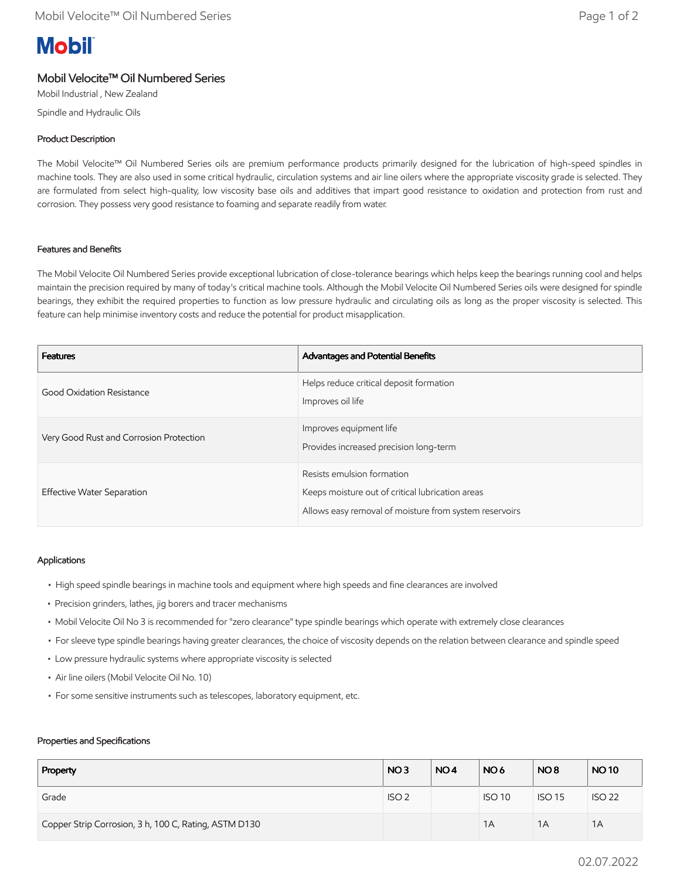# **Mobil**

# Mobil Velocite™ Oil Numbered Series

Mobil Industrial , New Zealand

Spindle and Hydraulic Oils

# Product Description

The Mobil Velocite™ Oil Numbered Series oils are premium performance products primarily designed for the lubrication of high-speed spindles in machine tools. They are also used in some critical hydraulic, circulation systems and air line oilers where the appropriate viscosity grade is selected. They are formulated from select high-quality, low viscosity base oils and additives that impart good resistance to oxidation and protection from rust and corrosion. They possess very good resistance to foaming and separate readily from water.

## Features and Benefits

The Mobil Velocite Oil Numbered Series provide exceptional lubrication of close-tolerance bearings which helps keep the bearings running cool and helps maintain the precision required by many of today's critical machine tools. Although the Mobil Velocite Oil Numbered Series oils were designed for spindle bearings, they exhibit the required properties to function as low pressure hydraulic and circulating oils as long as the proper viscosity is selected. This feature can help minimise inventory costs and reduce the potential for product misapplication.

| <b>Features</b>                         | Advantages and Potential Benefits                                                                                                        |
|-----------------------------------------|------------------------------------------------------------------------------------------------------------------------------------------|
| Good Oxidation Resistance               | Helps reduce critical deposit formation<br>Improves oil life                                                                             |
| Very Good Rust and Corrosion Protection | Improves equipment life<br>Provides increased precision long-term                                                                        |
| Effective Water Separation              | Resists emulsion formation<br>Keeps moisture out of critical lubrication areas<br>Allows easy removal of moisture from system reservoirs |

#### Applications

- High speed spindle bearings in machine tools and equipment where high speeds and fine clearances are involved
- Precision grinders, lathes, jig borers and tracer mechanisms
- Mobil Velocite Oil No 3 is recommended for "zero clearance" type spindle bearings which operate with extremely close clearances
- For sleeve type spindle bearings having greater clearances, the choice of viscosity depends on the relation between clearance and spindle speed
- Low pressure hydraulic systems where appropriate viscosity is selected
- Air line oilers (Mobil Velocite Oil No. 10)
- For some sensitive instruments such as telescopes, laboratory equipment, etc.

#### Properties and Specifications

| Property                                              | NO <sub>3</sub>  | NO <sub>4</sub> | NO <sub>6</sub> | NO <sub>8</sub> | <b>NO10</b>   |
|-------------------------------------------------------|------------------|-----------------|-----------------|-----------------|---------------|
| Grade                                                 | ISO <sub>2</sub> |                 | <b>ISO 10</b>   | <b>ISO 15</b>   | <b>ISO 22</b> |
| Copper Strip Corrosion, 3 h, 100 C, Rating, ASTM D130 |                  |                 | 1A              | 1A              | 1A            |